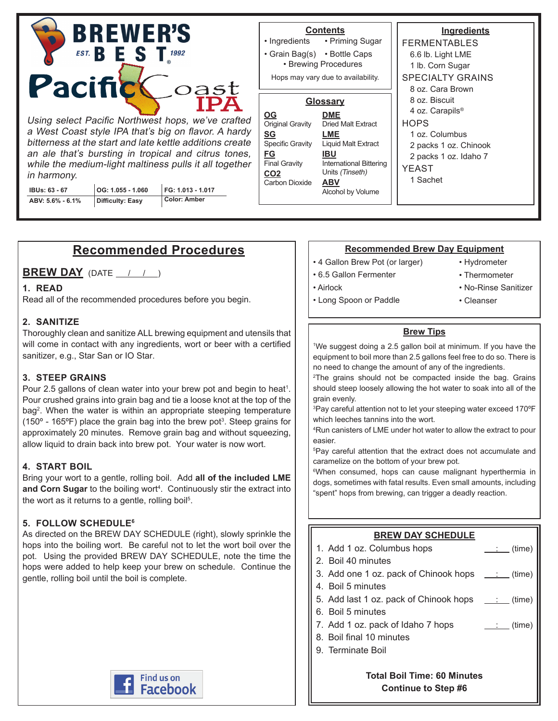| <b>BREWER'S</b><br><b>EST.</b> B E S T <sub>1992</sub>                                                                                                                                                                                                                                                  |  |                     | • Ingredients                                                                                                                                            | <b>Contents</b><br>• Priming Sugar                                                                                                                                 | <b>Ingredients</b><br><b>FERMENTABLES</b>                                                                                                                   |  |
|---------------------------------------------------------------------------------------------------------------------------------------------------------------------------------------------------------------------------------------------------------------------------------------------------------|--|---------------------|----------------------------------------------------------------------------------------------------------------------------------------------------------|--------------------------------------------------------------------------------------------------------------------------------------------------------------------|-------------------------------------------------------------------------------------------------------------------------------------------------------------|--|
|                                                                                                                                                                                                                                                                                                         |  |                     |                                                                                                                                                          | • Grain Bag(s) • Bottle Caps<br>• Brewing Procedures                                                                                                               | 6.6 lb. Light LME<br>1 lb. Corn Sugar                                                                                                                       |  |
| Pacifick<br>oast                                                                                                                                                                                                                                                                                        |  |                     |                                                                                                                                                          | Hops may vary due to availability.                                                                                                                                 | <b>SPECIALTY GRAINS</b><br>8 oz. Cara Brown                                                                                                                 |  |
| Using select Pacific Northwest hops, we've crafted<br>a West Coast style IPA that's big on flavor. A hardy<br>bitterness at the start and late kettle additions create<br>an ale that's bursting in tropical and citrus tones,<br>while the medium-light maltiness pulls it all together<br>in harmony. |  |                     | $\underline{\mathsf{OG}}$<br>Original Gravity<br><b>SG</b><br>Specific Gravity<br><u>FG</u><br><b>Final Gravity</b><br>CO <sub>2</sub><br>Carbon Dioxide | Glossary<br><b>DME</b><br><b>Dried Malt Extract</b><br>LME<br><b>Liquid Malt Extract</b><br><b>IBU</b><br>International Bittering<br>Units (Tinseth)<br><b>ABV</b> | 8 oz. Biscuit<br>4 oz. Carapils <sup>®</sup><br><b>HOPS</b><br>1 oz. Columbus<br>2 packs 1 oz. Chinook<br>2 packs 1 oz. Idaho 7<br><b>YEAST</b><br>1 Sachet |  |
| OG: 1.055 - 1.060<br><b>IBUs: 63 - 67</b>                                                                                                                                                                                                                                                               |  | FG: 1.013 - 1.017   |                                                                                                                                                          | Alcohol by Volume                                                                                                                                                  |                                                                                                                                                             |  |
| <b>Difficulty: Easy</b><br>ABV: 5.6% - 6.1%                                                                                                                                                                                                                                                             |  | <b>Color: Amber</b> |                                                                                                                                                          |                                                                                                                                                                    |                                                                                                                                                             |  |

# **Recommended Procedures**

**BREW DAY** (DATE  $\left( \begin{array}{cc} 1 & 1 \end{array} \right)$ 

## **1. READ**

Read all of the recommended procedures before you begin.

## **2. SANITIZE**

Thoroughly clean and sanitize ALL brewing equipment and utensils that will come in contact with any ingredients, wort or beer with a certified sanitizer, e.g., Star San or IO Star.

## **3. STEEP GRAINS**

Pour 2.5 gallons of clean water into your brew pot and begin to heat<sup>1</sup>. Pour crushed grains into grain bag and tie a loose knot at the top of the bag<sup>2</sup> . When the water is within an appropriate steeping temperature (150° - 165°F) place the grain bag into the brew pot $^3$ . Steep grains for approximately 20 minutes. Remove grain bag and without squeezing, allow liquid to drain back into brew pot. Your water is now wort.

## **4. START BOIL**

Bring your wort to a gentle, rolling boil. Add **all of the included LME**  and Corn Sugar to the boiling wort<sup>4</sup>. Continuously stir the extract into the wort as it returns to a gentle, rolling boil<sup>5</sup>.

## **5. FOLLOW SCHEDULE6**

As directed on the BREW DAY SCHEDULE (right), slowly sprinkle the hops into the boiling wort. Be careful not to let the wort boil over the pot. Using the provided BREW DAY SCHEDULE, note the time the hops were added to help keep your brew on schedule. Continue the gentle, rolling boil until the boil is complete.



#### **Recommended Brew Day Equipment**

- 4 Gallon Brew Pot (or larger)
- 6.5 Gallon Fermenter
- Airlock
- Hydrometer
- Thermometer
- 
- Long Spoon or Paddle
- No-Rinse Sanitizer
	- Cleanser

#### **Brew Tips**

1 We suggest doing a 2.5 gallon boil at minimum. If you have the equipment to boil more than 2.5 gallons feel free to do so. There is no need to change the amount of any of the ingredients.

2 The grains should not be compacted inside the bag. Grains should steep loosely allowing the hot water to soak into all of the grain evenly.

3 Pay careful attention not to let your steeping water exceed 170ºF which leeches tannins into the wort.

4 Run canisters of LME under hot water to allow the extract to pour easier.

5 Pay careful attention that the extract does not accumulate and caramelize on the bottom of your brew pot.

6 When consumed, hops can cause malignant hyperthermia in dogs, sometimes with fatal results. Even small amounts, including "spent" hops from brewing, can trigger a deadly reaction.

## **BREW DAY SCHEDULE**

| 1. Add 1 oz. Columbus hops                                                | $:$ (time)                              |
|---------------------------------------------------------------------------|-----------------------------------------|
| 2. Boil 40 minutes                                                        |                                         |
| 3. Add one 1 oz. pack of Chinook hops $\quad$ : (time)                    |                                         |
| 4. Boil 5 minutes                                                         |                                         |
| 5. Add last 1 oz. pack of Chinook hops $\quad \underline{\quad}$ : (time) |                                         |
| 6. Boil 5 minutes                                                         |                                         |
| 7. Add 1 oz. pack of Idaho 7 hops                                         | $\frac{1}{\sqrt{1-\frac{1}{2}}}$ (time) |
| 8. Boil final 10 minutes                                                  |                                         |
| 9. Terminate Boil                                                         |                                         |
|                                                                           |                                         |
| . <b>.</b>                                                                |                                         |

**Total Boil Time: 60 Minutes Continue to Step #6**